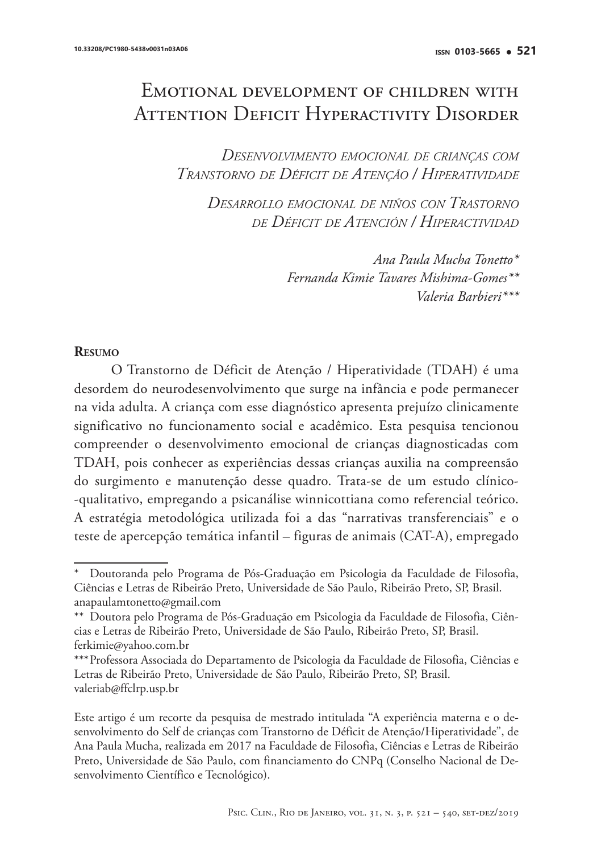# Emotional development of children with Attention Deficit Hyperactivity Disorder

*Desenvolvimento emocional de crianças com Transtorno de Déficit de Atenção / Hiperatividade*

*Desarrollo emocional de niños con Trastorno de Déficit de Atención / Hiperactividad*

> *Ana Paula Mucha Tonetto\* Fernanda Kimie Tavares Mishima-Gomes\*\* Valeria Barbieri\*\*\**

#### **Resumo**

O Transtorno de Déficit de Atenção / Hiperatividade (TDAH) é uma desordem do neurodesenvolvimento que surge na infância e pode permanecer na vida adulta. A criança com esse diagnóstico apresenta prejuízo clinicamente significativo no funcionamento social e acadêmico. Esta pesquisa tencionou compreender o desenvolvimento emocional de crianças diagnosticadas com TDAH, pois conhecer as experiências dessas crianças auxilia na compreensão do surgimento e manutenção desse quadro. Trata-se de um estudo clínico- -qualitativo, empregando a psicanálise winnicottiana como referencial teórico. A estratégia metodológica utilizada foi a das "narrativas transferenciais" e o teste de apercepção temática infantil – figuras de animais (CAT-A), empregado

Doutoranda pelo Programa de Pós-Graduação em Psicologia da Faculdade de Filosofia, Ciências e Letras de Ribeirão Preto, Universidade de São Paulo, Ribeirão Preto, SP, Brasil. anapaulamtonetto@gmail.com

<sup>\*\*</sup> Doutora pelo Programa de Pós-Graduação em Psicologia da Faculdade de Filosofia, Ciências e Letras de Ribeirão Preto, Universidade de São Paulo, Ribeirão Preto, SP, Brasil. ferkimie@yahoo.com.br

<sup>\*\*\*</sup>Professora Associada do Departamento de Psicologia da Faculdade de Filosofia, Ciências e Letras de Ribeirão Preto, Universidade de São Paulo, Ribeirão Preto, SP, Brasil. valeriab@ffclrp.usp.br

Este artigo é um recorte da pesquisa de mestrado intitulada "A experiência materna e o desenvolvimento do Self de crianças com Transtorno de Déficit de Atenção/Hiperatividade", de Ana Paula Mucha, realizada em 2017 na Faculdade de Filosofia, Ciências e Letras de Ribeirão Preto, Universidade de São Paulo, com financiamento do CNPq (Conselho Nacional de Desenvolvimento Científico e Tecnológico).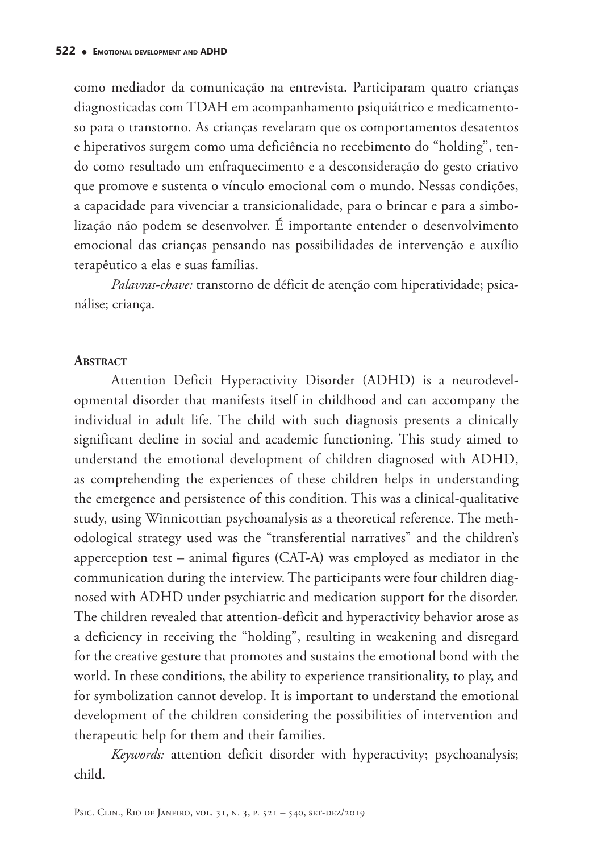como mediador da comunicação na entrevista. Participaram quatro crianças diagnosticadas com TDAH em acompanhamento psiquiátrico e medicamentoso para o transtorno. As crianças revelaram que os comportamentos desatentos e hiperativos surgem como uma deficiência no recebimento do "holding", tendo como resultado um enfraquecimento e a desconsideração do gesto criativo que promove e sustenta o vínculo emocional com o mundo. Nessas condições, a capacidade para vivenciar a transicionalidade, para o brincar e para a simbolização não podem se desenvolver. É importante entender o desenvolvimento emocional das crianças pensando nas possibilidades de intervenção e auxílio terapêutico a elas e suas famílias.

*Palavras-chave:* transtorno de déficit de atenção com hiperatividade; psicanálise; criança.

#### **ABSTRACT**

Attention Deficit Hyperactivity Disorder (ADHD) is a neurodevelopmental disorder that manifests itself in childhood and can accompany the individual in adult life. The child with such diagnosis presents a clinically significant decline in social and academic functioning. This study aimed to understand the emotional development of children diagnosed with ADHD, as comprehending the experiences of these children helps in understanding the emergence and persistence of this condition. This was a clinical-qualitative study, using Winnicottian psychoanalysis as a theoretical reference. The methodological strategy used was the "transferential narratives" and the children's apperception test – animal figures (CAT-A) was employed as mediator in the communication during the interview. The participants were four children diagnosed with ADHD under psychiatric and medication support for the disorder. The children revealed that attention-deficit and hyperactivity behavior arose as a deficiency in receiving the "holding", resulting in weakening and disregard for the creative gesture that promotes and sustains the emotional bond with the world. In these conditions, the ability to experience transitionality, to play, and for symbolization cannot develop. It is important to understand the emotional development of the children considering the possibilities of intervention and therapeutic help for them and their families.

*Keywords:* attention deficit disorder with hyperactivity; psychoanalysis; child.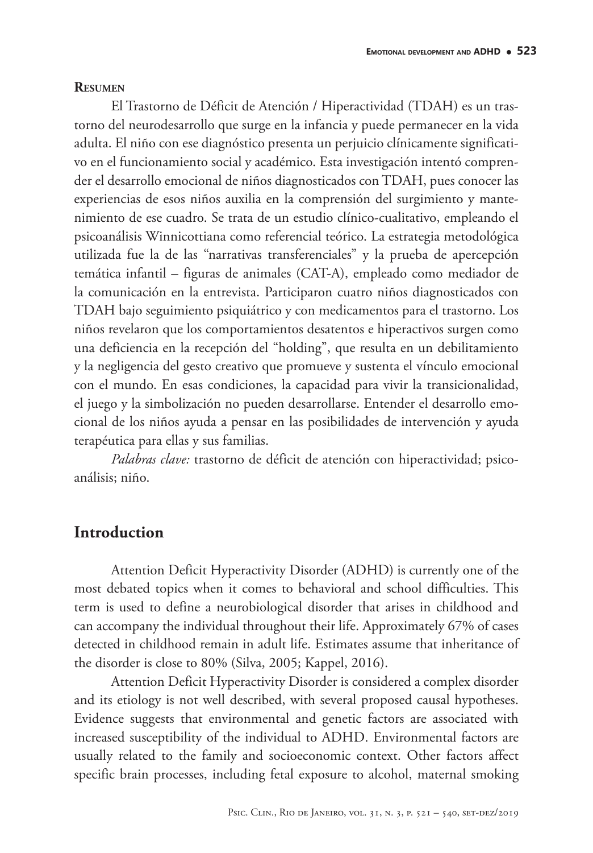#### **Resumen**

El Trastorno de Déficit de Atención / Hiperactividad (TDAH) es un trastorno del neurodesarrollo que surge en la infancia y puede permanecer en la vida adulta. El niño con ese diagnóstico presenta un perjuicio clínicamente significativo en el funcionamiento social y académico. Esta investigación intentó comprender el desarrollo emocional de niños diagnosticados con TDAH, pues conocer las experiencias de esos niños auxilia en la comprensión del surgimiento y mantenimiento de ese cuadro. Se trata de un estudio clínico-cualitativo, empleando el psicoanálisis Winnicottiana como referencial teórico. La estrategia metodológica utilizada fue la de las "narrativas transferenciales" y la prueba de apercepción temática infantil – figuras de animales (CAT-A), empleado como mediador de la comunicación en la entrevista. Participaron cuatro niños diagnosticados con TDAH bajo seguimiento psiquiátrico y con medicamentos para el trastorno. Los niños revelaron que los comportamientos desatentos e hiperactivos surgen como una deficiencia en la recepción del "holding", que resulta en un debilitamiento y la negligencia del gesto creativo que promueve y sustenta el vínculo emocional con el mundo. En esas condiciones, la capacidad para vivir la transicionalidad, el juego y la simbolización no pueden desarrollarse. Entender el desarrollo emocional de los niños ayuda a pensar en las posibilidades de intervención y ayuda terapéutica para ellas y sus familias.

*Palabras clave:* trastorno de déficit de atención con hiperactividad; psicoanálisis; niño.

### **Introduction**

Attention Deficit Hyperactivity Disorder (ADHD) is currently one of the most debated topics when it comes to behavioral and school difficulties. This term is used to define a neurobiological disorder that arises in childhood and can accompany the individual throughout their life. Approximately 67% of cases detected in childhood remain in adult life. Estimates assume that inheritance of the disorder is close to 80% (Silva, 2005; Kappel, 2016).

Attention Deficit Hyperactivity Disorder is considered a complex disorder and its etiology is not well described, with several proposed causal hypotheses. Evidence suggests that environmental and genetic factors are associated with increased susceptibility of the individual to ADHD. Environmental factors are usually related to the family and socioeconomic context. Other factors affect specific brain processes, including fetal exposure to alcohol, maternal smoking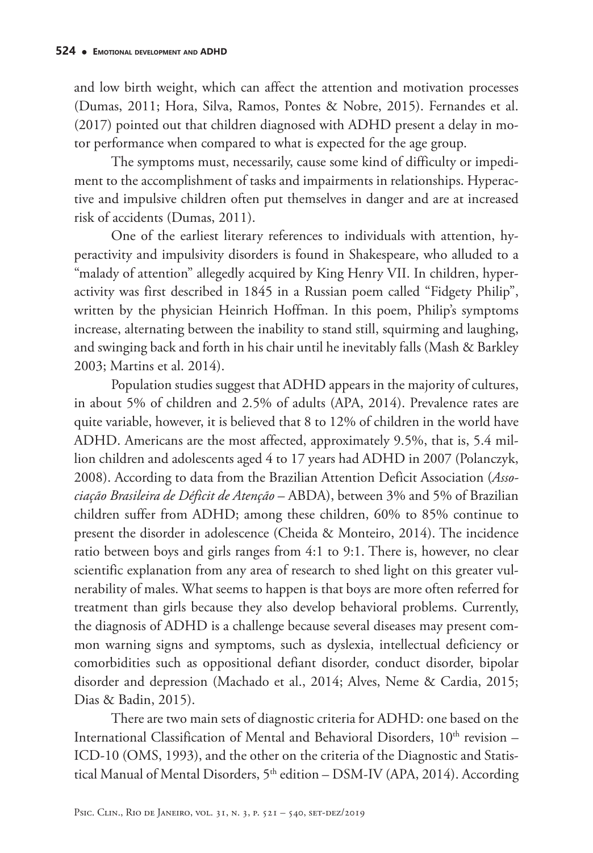and low birth weight, which can affect the attention and motivation processes (Dumas, 2011; Hora, Silva, Ramos, Pontes & Nobre, 2015). Fernandes et al. (2017) pointed out that children diagnosed with ADHD present a delay in motor performance when compared to what is expected for the age group.

The symptoms must, necessarily, cause some kind of difficulty or impediment to the accomplishment of tasks and impairments in relationships. Hyperactive and impulsive children often put themselves in danger and are at increased risk of accidents (Dumas, 2011).

One of the earliest literary references to individuals with attention, hyperactivity and impulsivity disorders is found in Shakespeare, who alluded to a "malady of attention" allegedly acquired by King Henry VII. In children, hyperactivity was first described in 1845 in a Russian poem called "Fidgety Philip", written by the physician Heinrich Hoffman. In this poem, Philip's symptoms increase, alternating between the inability to stand still, squirming and laughing, and swinging back and forth in his chair until he inevitably falls (Mash & Barkley 2003; Martins et al. 2014).

Population studies suggest that ADHD appears in the majority of cultures, in about 5% of children and 2.5% of adults (APA, 2014). Prevalence rates are quite variable, however, it is believed that 8 to 12% of children in the world have ADHD. Americans are the most affected, approximately 9.5%, that is, 5.4 million children and adolescents aged 4 to 17 years had ADHD in 2007 (Polanczyk, 2008). According to data from the Brazilian Attention Deficit Association (*Associação Brasileira de Déficit de Atenção* – ABDA), between 3% and 5% of Brazilian children suffer from ADHD; among these children, 60% to 85% continue to present the disorder in adolescence (Cheida & Monteiro, 2014). The incidence ratio between boys and girls ranges from 4:1 to 9:1. There is, however, no clear scientific explanation from any area of research to shed light on this greater vulnerability of males. What seems to happen is that boys are more often referred for treatment than girls because they also develop behavioral problems. Currently, the diagnosis of ADHD is a challenge because several diseases may present common warning signs and symptoms, such as dyslexia, intellectual deficiency or comorbidities such as oppositional defiant disorder, conduct disorder, bipolar disorder and depression (Machado et al., 2014; Alves, Neme & Cardia, 2015; Dias & Badin, 2015).

There are two main sets of diagnostic criteria for ADHD: one based on the International Classification of Mental and Behavioral Disorders,  $10<sup>th</sup>$  revision – ICD-10 (OMS, 1993), and the other on the criteria of the Diagnostic and Statistical Manual of Mental Disorders, 5<sup>th</sup> edition – DSM-IV (APA, 2014). According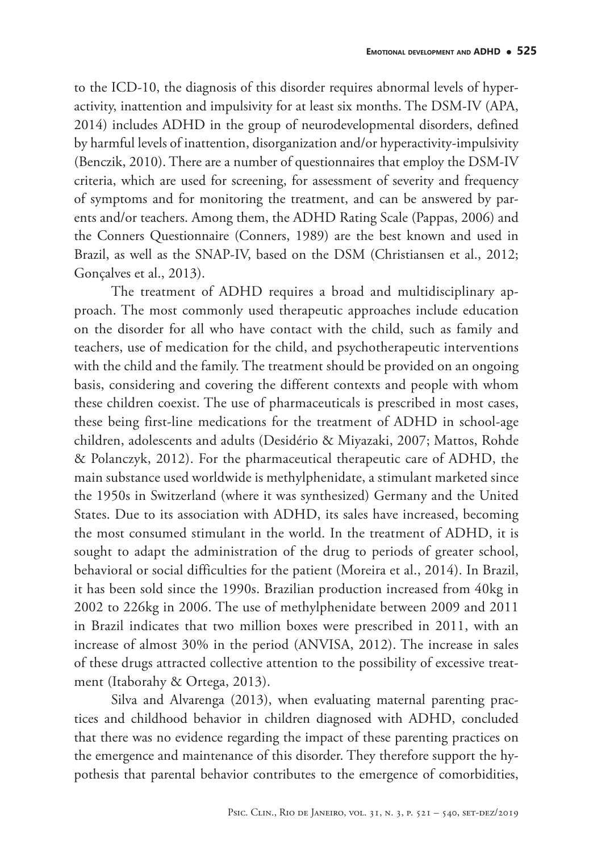to the ICD-10, the diagnosis of this disorder requires abnormal levels of hyperactivity, inattention and impulsivity for at least six months. The DSM-IV (APA, 2014) includes ADHD in the group of neurodevelopmental disorders, defined by harmful levels of inattention, disorganization and/or hyperactivity-impulsivity (Benczik, 2010). There are a number of questionnaires that employ the DSM-IV criteria, which are used for screening, for assessment of severity and frequency of symptoms and for monitoring the treatment, and can be answered by parents and/or teachers. Among them, the ADHD Rating Scale (Pappas, 2006) and the Conners Questionnaire (Conners, 1989) are the best known and used in Brazil, as well as the SNAP-IV, based on the DSM (Christiansen et al., 2012; Gonçalves et al., 2013).

The treatment of ADHD requires a broad and multidisciplinary approach. The most commonly used therapeutic approaches include education on the disorder for all who have contact with the child, such as family and teachers, use of medication for the child, and psychotherapeutic interventions with the child and the family. The treatment should be provided on an ongoing basis, considering and covering the different contexts and people with whom these children coexist. The use of pharmaceuticals is prescribed in most cases, these being first-line medications for the treatment of ADHD in school-age children, adolescents and adults (Desidério & Miyazaki, 2007; Mattos, Rohde & Polanczyk, 2012). For the pharmaceutical therapeutic care of ADHD, the main substance used worldwide is methylphenidate, a stimulant marketed since the 1950s in Switzerland (where it was synthesized) Germany and the United States. Due to its association with ADHD, its sales have increased, becoming the most consumed stimulant in the world. In the treatment of ADHD, it is sought to adapt the administration of the drug to periods of greater school, behavioral or social difficulties for the patient (Moreira et al., 2014). In Brazil, it has been sold since the 1990s. Brazilian production increased from 40kg in 2002 to 226kg in 2006. The use of methylphenidate between 2009 and 2011 in Brazil indicates that two million boxes were prescribed in 2011, with an increase of almost 30% in the period (ANVISA, 2012). The increase in sales of these drugs attracted collective attention to the possibility of excessive treatment (Itaborahy & Ortega, 2013).

Silva and Alvarenga (2013), when evaluating maternal parenting practices and childhood behavior in children diagnosed with ADHD, concluded that there was no evidence regarding the impact of these parenting practices on the emergence and maintenance of this disorder. They therefore support the hypothesis that parental behavior contributes to the emergence of comorbidities,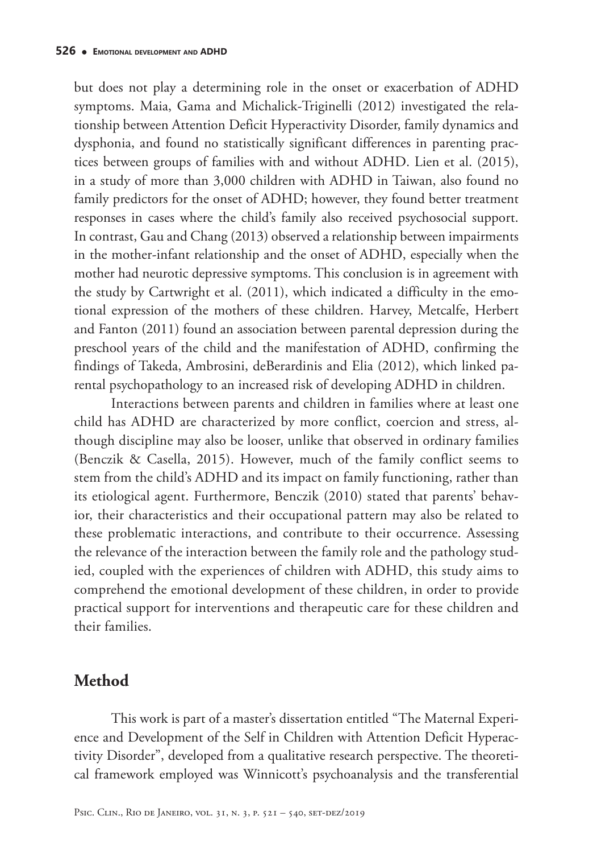but does not play a determining role in the onset or exacerbation of ADHD symptoms. Maia, Gama and Michalick-Triginelli (2012) investigated the relationship between Attention Deficit Hyperactivity Disorder, family dynamics and dysphonia, and found no statistically significant differences in parenting practices between groups of families with and without ADHD. Lien et al. (2015), in a study of more than 3,000 children with ADHD in Taiwan, also found no family predictors for the onset of ADHD; however, they found better treatment responses in cases where the child's family also received psychosocial support. In contrast, Gau and Chang (2013) observed a relationship between impairments in the mother-infant relationship and the onset of ADHD, especially when the mother had neurotic depressive symptoms. This conclusion is in agreement with the study by Cartwright et al. (2011), which indicated a difficulty in the emotional expression of the mothers of these children. Harvey, Metcalfe, Herbert and Fanton (2011) found an association between parental depression during the preschool years of the child and the manifestation of ADHD, confirming the findings of Takeda, Ambrosini, deBerardinis and Elia (2012), which linked parental psychopathology to an increased risk of developing ADHD in children.

Interactions between parents and children in families where at least one child has ADHD are characterized by more conflict, coercion and stress, although discipline may also be looser, unlike that observed in ordinary families (Benczik & Casella, 2015). However, much of the family conflict seems to stem from the child's ADHD and its impact on family functioning, rather than its etiological agent. Furthermore, Benczik (2010) stated that parents' behavior, their characteristics and their occupational pattern may also be related to these problematic interactions, and contribute to their occurrence. Assessing the relevance of the interaction between the family role and the pathology studied, coupled with the experiences of children with ADHD, this study aims to comprehend the emotional development of these children, in order to provide practical support for interventions and therapeutic care for these children and their families.

### **Method**

This work is part of a master's dissertation entitled "The Maternal Experience and Development of the Self in Children with Attention Deficit Hyperactivity Disorder", developed from a qualitative research perspective. The theoretical framework employed was Winnicott's psychoanalysis and the transferential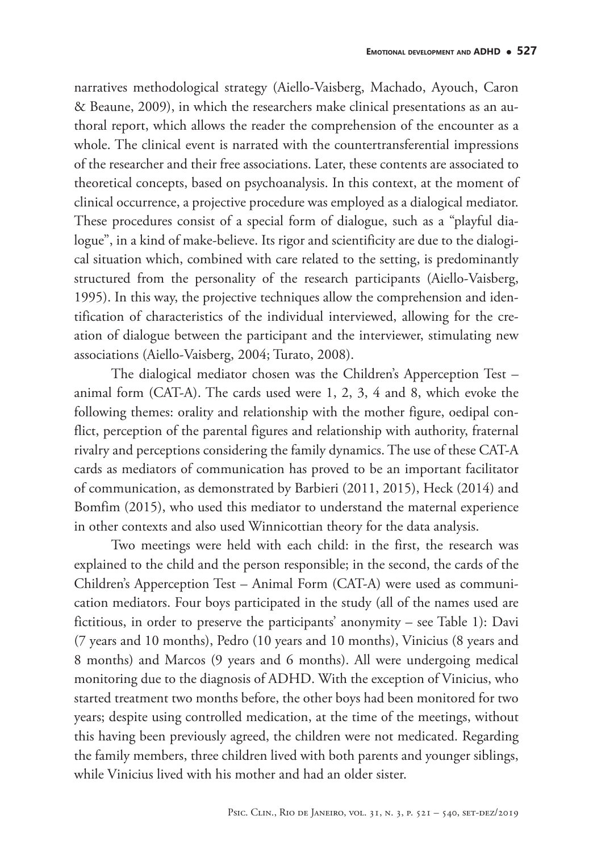narratives methodological strategy (Aiello-Vaisberg, Machado, Ayouch, Caron & Beaune, 2009), in which the researchers make clinical presentations as an authoral report, which allows the reader the comprehension of the encounter as a whole. The clinical event is narrated with the countertransferential impressions of the researcher and their free associations. Later, these contents are associated to theoretical concepts, based on psychoanalysis. In this context, at the moment of clinical occurrence, a projective procedure was employed as a dialogical mediator. These procedures consist of a special form of dialogue, such as a "playful dialogue", in a kind of make-believe. Its rigor and scientificity are due to the dialogical situation which, combined with care related to the setting, is predominantly structured from the personality of the research participants (Aiello-Vaisberg, 1995). In this way, the projective techniques allow the comprehension and identification of characteristics of the individual interviewed, allowing for the creation of dialogue between the participant and the interviewer, stimulating new associations (Aiello-Vaisberg, 2004; Turato, 2008).

The dialogical mediator chosen was the Children's Apperception Test – animal form (CAT-A). The cards used were 1, 2, 3, 4 and 8, which evoke the following themes: orality and relationship with the mother figure, oedipal conflict, perception of the parental figures and relationship with authority, fraternal rivalry and perceptions considering the family dynamics. The use of these CAT-A cards as mediators of communication has proved to be an important facilitator of communication, as demonstrated by Barbieri (2011, 2015), Heck (2014) and Bomfim (2015), who used this mediator to understand the maternal experience in other contexts and also used Winnicottian theory for the data analysis.

Two meetings were held with each child: in the first, the research was explained to the child and the person responsible; in the second, the cards of the Children's Apperception Test – Animal Form (CAT-A) were used as communication mediators. Four boys participated in the study (all of the names used are fictitious, in order to preserve the participants' anonymity – see Table 1): Davi (7 years and 10 months), Pedro (10 years and 10 months), Vinicius (8 years and 8 months) and Marcos (9 years and 6 months). All were undergoing medical monitoring due to the diagnosis of ADHD. With the exception of Vinicius, who started treatment two months before, the other boys had been monitored for two years; despite using controlled medication, at the time of the meetings, without this having been previously agreed, the children were not medicated. Regarding the family members, three children lived with both parents and younger siblings, while Vinicius lived with his mother and had an older sister.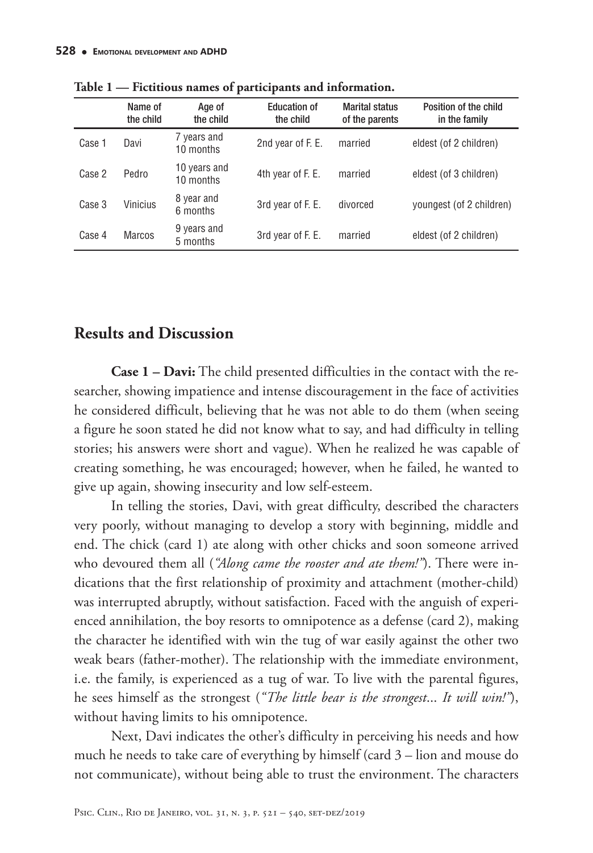|        | Name of<br>the child | Age of<br>the child       | <b>Education of</b><br>the child | <b>Marital status</b><br>of the parents | Position of the child<br>in the family |
|--------|----------------------|---------------------------|----------------------------------|-----------------------------------------|----------------------------------------|
| Case 1 | Davi                 | 7 years and<br>10 months  | 2nd year of F. E.                | married                                 | eldest (of 2 children)                 |
| Case 2 | Pedro                | 10 years and<br>10 months | 4th year of F. E.                | married                                 | eldest (of 3 children)                 |
| Case 3 | <b>Vinicius</b>      | 8 year and<br>6 months    | 3rd year of F. E.                | divorced                                | youngest (of 2 children)               |
| Case 4 | <b>Marcos</b>        | 9 years and<br>5 months   | 3rd year of F. E.                | married                                 | eldest (of 2 children)                 |

**Table 1 — Fictitious names of participants and information.**

#### **Results and Discussion**

**Case 1 – Davi:** The child presented difficulties in the contact with the researcher, showing impatience and intense discouragement in the face of activities he considered difficult, believing that he was not able to do them (when seeing a figure he soon stated he did not know what to say, and had difficulty in telling stories; his answers were short and vague). When he realized he was capable of creating something, he was encouraged; however, when he failed, he wanted to give up again, showing insecurity and low self-esteem.

In telling the stories, Davi, with great difficulty, described the characters very poorly, without managing to develop a story with beginning, middle and end. The chick (card 1) ate along with other chicks and soon someone arrived who devoured them all (*"Along came the rooster and ate them!"*). There were indications that the first relationship of proximity and attachment (mother-child) was interrupted abruptly, without satisfaction. Faced with the anguish of experienced annihilation, the boy resorts to omnipotence as a defense (card 2), making the character he identified with win the tug of war easily against the other two weak bears (father-mother). The relationship with the immediate environment, i.e. the family, is experienced as a tug of war. To live with the parental figures, he sees himself as the strongest (*"The little bear is the strongest*... *It will win!"*), without having limits to his omnipotence.

Next, Davi indicates the other's difficulty in perceiving his needs and how much he needs to take care of everything by himself (card 3 – lion and mouse do not communicate), without being able to trust the environment. The characters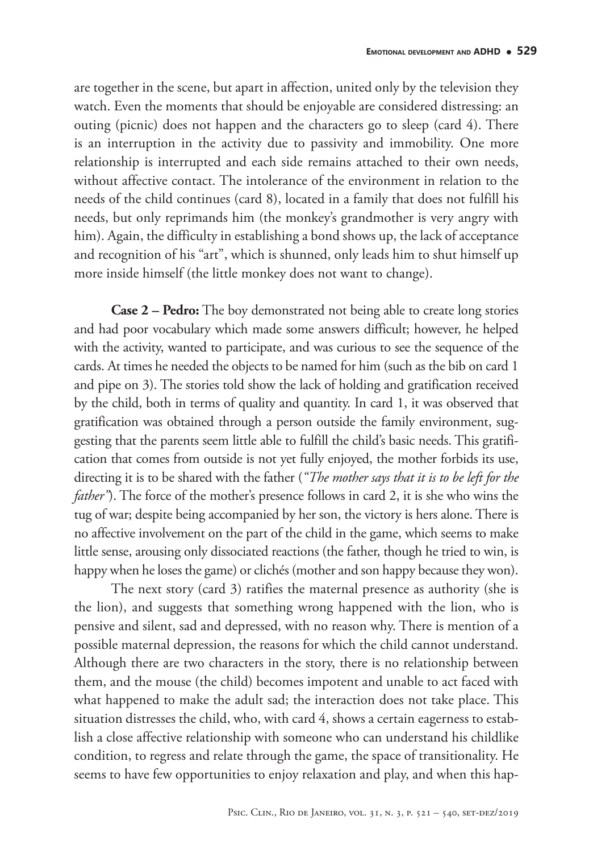are together in the scene, but apart in affection, united only by the television they watch. Even the moments that should be enjoyable are considered distressing: an outing (picnic) does not happen and the characters go to sleep (card 4). There is an interruption in the activity due to passivity and immobility. One more relationship is interrupted and each side remains attached to their own needs, without affective contact. The intolerance of the environment in relation to the needs of the child continues (card 8), located in a family that does not fulfill his needs, but only reprimands him (the monkey's grandmother is very angry with him). Again, the difficulty in establishing a bond shows up, the lack of acceptance and recognition of his "art", which is shunned, only leads him to shut himself up more inside himself (the little monkey does not want to change).

**Case 2 – Pedro:** The boy demonstrated not being able to create long stories and had poor vocabulary which made some answers difficult; however, he helped with the activity, wanted to participate, and was curious to see the sequence of the cards. At times he needed the objects to be named for him (such as the bib on card 1 and pipe on 3). The stories told show the lack of holding and gratification received by the child, both in terms of quality and quantity. In card 1, it was observed that gratification was obtained through a person outside the family environment, suggesting that the parents seem little able to fulfill the child's basic needs. This gratification that comes from outside is not yet fully enjoyed, the mother forbids its use, directing it is to be shared with the father (*"The mother says that it is to be left for the father*"). The force of the mother's presence follows in card 2, it is she who wins the tug of war; despite being accompanied by her son, the victory is hers alone. There is no affective involvement on the part of the child in the game, which seems to make little sense, arousing only dissociated reactions (the father, though he tried to win, is happy when he loses the game) or clichés (mother and son happy because they won).

The next story (card 3) ratifies the maternal presence as authority (she is the lion), and suggests that something wrong happened with the lion, who is pensive and silent, sad and depressed, with no reason why. There is mention of a possible maternal depression, the reasons for which the child cannot understand. Although there are two characters in the story, there is no relationship between them, and the mouse (the child) becomes impotent and unable to act faced with what happened to make the adult sad; the interaction does not take place. This situation distresses the child, who, with card 4, shows a certain eagerness to establish a close affective relationship with someone who can understand his childlike condition, to regress and relate through the game, the space of transitionality. He seems to have few opportunities to enjoy relaxation and play, and when this hap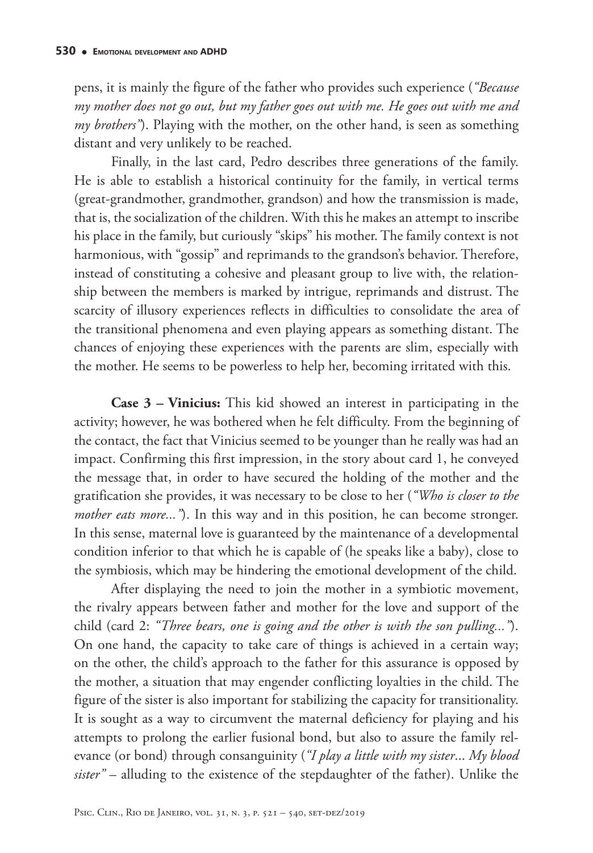pens, it is mainly the figure of the father who provides such experience (*"Because my mother does not go out, but my father goes out with me. He goes out with me and my brothers"*). Playing with the mother, on the other hand, is seen as something distant and very unlikely to be reached.

Finally, in the last card, Pedro describes three generations of the family. He is able to establish a historical continuity for the family, in vertical terms (great-grandmother, grandmother, grandson) and how the transmission is made, that is, the socialization of the children. With this he makes an attempt to inscribe his place in the family, but curiously "skips" his mother. The family context is not harmonious, with "gossip" and reprimands to the grandson's behavior. Therefore, instead of constituting a cohesive and pleasant group to live with, the relationship between the members is marked by intrigue, reprimands and distrust. The scarcity of illusory experiences reflects in difficulties to consolidate the area of the transitional phenomena and even playing appears as something distant. The chances of enjoying these experiences with the parents are slim, especially with the mother. He seems to be powerless to help her, becoming irritated with this.

**Case 3 – Vinicius:** This kid showed an interest in participating in the activity; however, he was bothered when he felt difficulty. From the beginning of the contact, the fact that Vinicius seemed to be younger than he really was had an impact. Confirming this first impression, in the story about card 1, he conveyed the message that, in order to have secured the holding of the mother and the gratification she provides, it was necessary to be close to her (*"Who is closer to the mother eats more..."*). In this way and in this position, he can become stronger. In this sense, maternal love is guaranteed by the maintenance of a developmental condition inferior to that which he is capable of (he speaks like a baby), close to the symbiosis, which may be hindering the emotional development of the child.

After displaying the need to join the mother in a symbiotic movement, the rivalry appears between father and mother for the love and support of the child (card 2: *"Three bears, one is going and the other is with the son pulling..."*). On one hand, the capacity to take care of things is achieved in a certain way; on the other, the child's approach to the father for this assurance is opposed by the mother, a situation that may engender conflicting loyalties in the child. The figure of the sister is also important for stabilizing the capacity for transitionality. It is sought as a way to circumvent the maternal deficiency for playing and his attempts to prolong the earlier fusional bond, but also to assure the family relevance (or bond) through consanguinity (*"I play a little with my sister*... *My blood sister"* – alluding to the existence of the stepdaughter of the father). Unlike the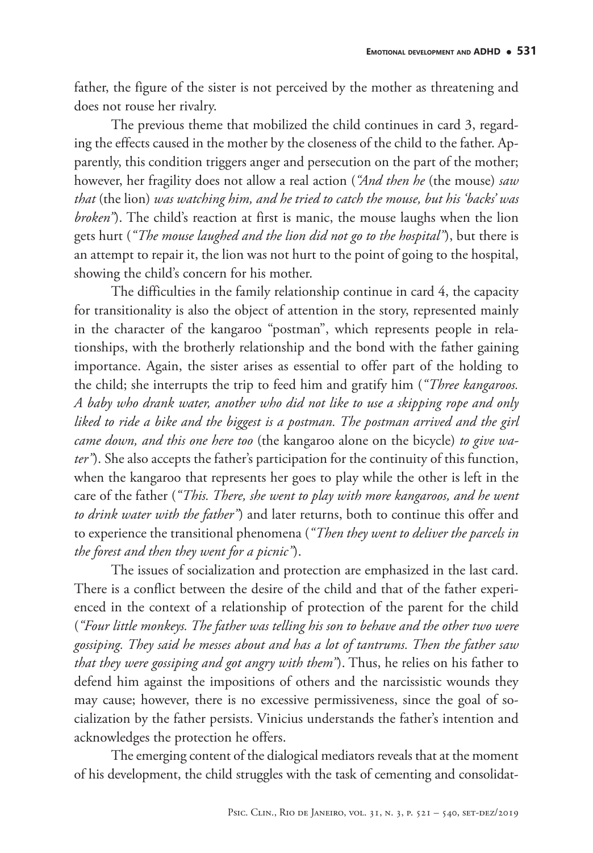father, the figure of the sister is not perceived by the mother as threatening and does not rouse her rivalry.

The previous theme that mobilized the child continues in card 3, regarding the effects caused in the mother by the closeness of the child to the father. Apparently, this condition triggers anger and persecution on the part of the mother; however, her fragility does not allow a real action (*"And then he* (the mouse) *saw that* (the lion) *was watching him, and he tried to catch the mouse, but his 'backs' was broken"*). The child's reaction at first is manic, the mouse laughs when the lion gets hurt (*"The mouse laughed and the lion did not go to the hospital"*), but there is an attempt to repair it, the lion was not hurt to the point of going to the hospital, showing the child's concern for his mother.

The difficulties in the family relationship continue in card 4, the capacity for transitionality is also the object of attention in the story, represented mainly in the character of the kangaroo "postman", which represents people in relationships, with the brotherly relationship and the bond with the father gaining importance. Again, the sister arises as essential to offer part of the holding to the child; she interrupts the trip to feed him and gratify him (*"Three kangaroos. A baby who drank water, another who did not like to use a skipping rope and only liked to ride a bike and the biggest is a postman. The postman arrived and the girl came down, and this one here too* (the kangaroo alone on the bicycle) *to give water"*). She also accepts the father's participation for the continuity of this function, when the kangaroo that represents her goes to play while the other is left in the care of the father (*"This. There, she went to play with more kangaroos, and he went to drink water with the father"*) and later returns, both to continue this offer and to experience the transitional phenomena (*"Then they went to deliver the parcels in the forest and then they went for a picnic"*).

The issues of socialization and protection are emphasized in the last card. There is a conflict between the desire of the child and that of the father experienced in the context of a relationship of protection of the parent for the child (*"Four little monkeys. The father was telling his son to behave and the other two were gossiping. They said he messes about and has a lot of tantrums. Then the father saw that they were gossiping and got angry with them"*). Thus, he relies on his father to defend him against the impositions of others and the narcissistic wounds they may cause; however, there is no excessive permissiveness, since the goal of socialization by the father persists. Vinicius understands the father's intention and acknowledges the protection he offers.

The emerging content of the dialogical mediators reveals that at the moment of his development, the child struggles with the task of cementing and consolidat-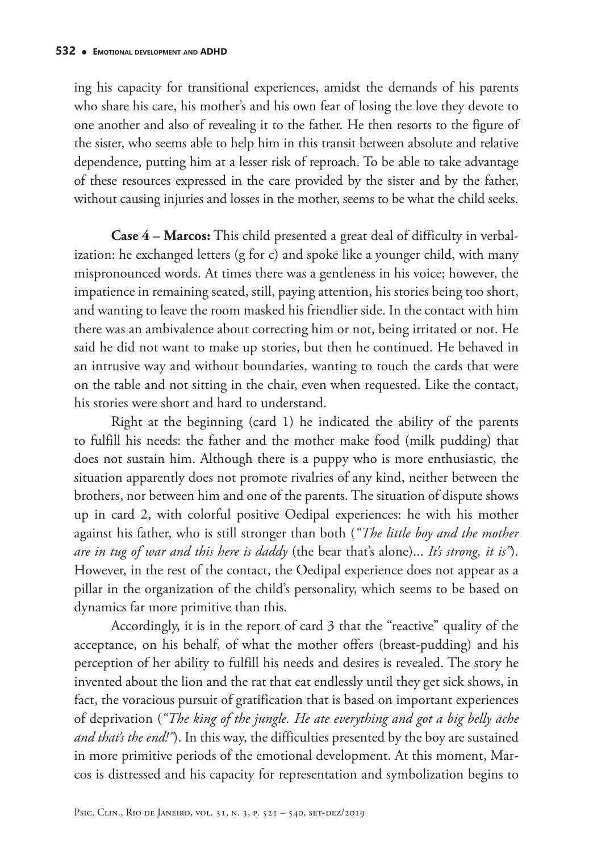ing his capacity for transitional experiences, amidst the demands of his parents who share his care, his mother's and his own fear of losing the love they devote to one another and also of revealing it to the father. He then resorts to the figure of the sister, who seems able to help him in this transit between absolute and relative dependence, putting him at a lesser risk of reproach. To be able to take advantage of these resources expressed in the care provided by the sister and by the father, without causing injuries and losses in the mother, seems to be what the child seeks.

**Case 4 – Marcos:** This child presented a great deal of difficulty in verbalization: he exchanged letters (g for c) and spoke like a younger child, with many mispronounced words. At times there was a gentleness in his voice; however, the impatience in remaining seated, still, paying attention, his stories being too short, and wanting to leave the room masked his friendlier side. In the contact with him there was an ambivalence about correcting him or not, being irritated or not. He said he did not want to make up stories, but then he continued. He behaved in an intrusive way and without boundaries, wanting to touch the cards that were on the table and not sitting in the chair, even when requested. Like the contact, his stories were short and hard to understand.

Right at the beginning (card 1) he indicated the ability of the parents to fulfill his needs: the father and the mother make food (milk pudding) that does not sustain him. Although there is a puppy who is more enthusiastic, the situation apparently does not promote rivalries of any kind, neither between the brothers, nor between him and one of the parents. The situation of dispute shows up in card 2, with colorful positive Oedipal experiences: he with his mother against his father, who is still stronger than both (*"The little boy and the mother are in tug of war and this here is daddy* (the bear that's alone)... *It's strong, it is"*). However, in the rest of the contact, the Oedipal experience does not appear as a pillar in the organization of the child's personality, which seems to be based on dynamics far more primitive than this.

Accordingly, it is in the report of card 3 that the "reactive" quality of the acceptance, on his behalf, of what the mother offers (breast-pudding) and his perception of her ability to fulfill his needs and desires is revealed. The story he invented about the lion and the rat that eat endlessly until they get sick shows, in fact, the voracious pursuit of gratification that is based on important experiences of deprivation (*"The king of the jungle. He ate everything and got a big belly ache and that's the end!"*). In this way, the difficulties presented by the boy are sustained in more primitive periods of the emotional development. At this moment, Marcos is distressed and his capacity for representation and symbolization begins to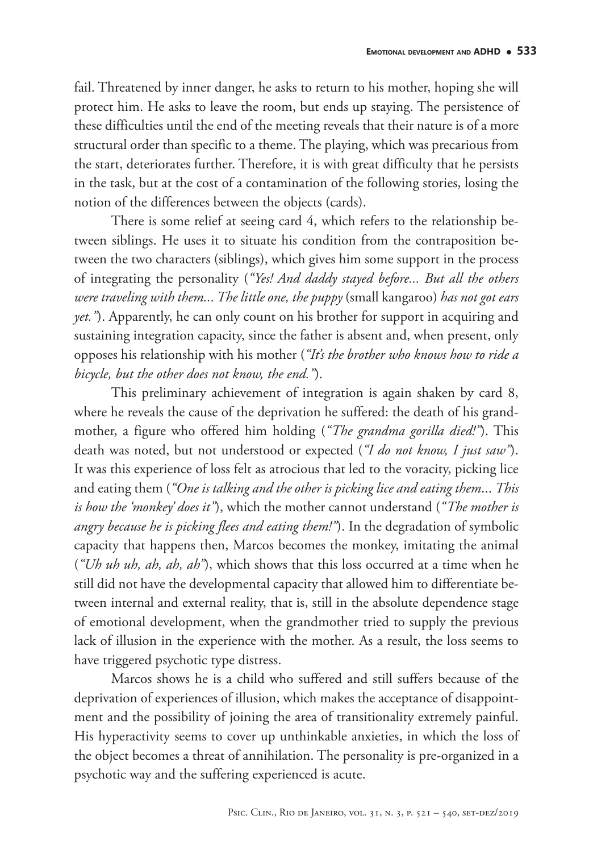fail. Threatened by inner danger, he asks to return to his mother, hoping she will protect him. He asks to leave the room, but ends up staying. The persistence of these difficulties until the end of the meeting reveals that their nature is of a more structural order than specific to a theme. The playing, which was precarious from the start, deteriorates further. Therefore, it is with great difficulty that he persists in the task, but at the cost of a contamination of the following stories, losing the notion of the differences between the objects (cards).

There is some relief at seeing card 4, which refers to the relationship between siblings. He uses it to situate his condition from the contraposition between the two characters (siblings), which gives him some support in the process of integrating the personality (*"Yes! And daddy stayed before... But all the others were traveling with them... The little one, the puppy* (small kangaroo) *has not got ears yet.*"). Apparently, he can only count on his brother for support in acquiring and sustaining integration capacity, since the father is absent and, when present, only opposes his relationship with his mother (*"It's the brother who knows how to ride a bicycle, but the other does not know, the end."*).

This preliminary achievement of integration is again shaken by card 8, where he reveals the cause of the deprivation he suffered: the death of his grandmother, a figure who offered him holding (*"The grandma gorilla died!"*). This death was noted, but not understood or expected (*"I do not know, I just saw"*). It was this experience of loss felt as atrocious that led to the voracity, picking lice and eating them (*"One is talking and the other is picking lice and eating them*... *This is how the 'monkey' does it"*), which the mother cannot understand (*"The mother is angry because he is picking flees and eating them!"*). In the degradation of symbolic capacity that happens then, Marcos becomes the monkey, imitating the animal (*"Uh uh uh, ah, ah, ah"*), which shows that this loss occurred at a time when he still did not have the developmental capacity that allowed him to differentiate between internal and external reality, that is, still in the absolute dependence stage of emotional development, when the grandmother tried to supply the previous lack of illusion in the experience with the mother. As a result, the loss seems to have triggered psychotic type distress.

Marcos shows he is a child who suffered and still suffers because of the deprivation of experiences of illusion, which makes the acceptance of disappointment and the possibility of joining the area of transitionality extremely painful. His hyperactivity seems to cover up unthinkable anxieties, in which the loss of the object becomes a threat of annihilation. The personality is pre-organized in a psychotic way and the suffering experienced is acute.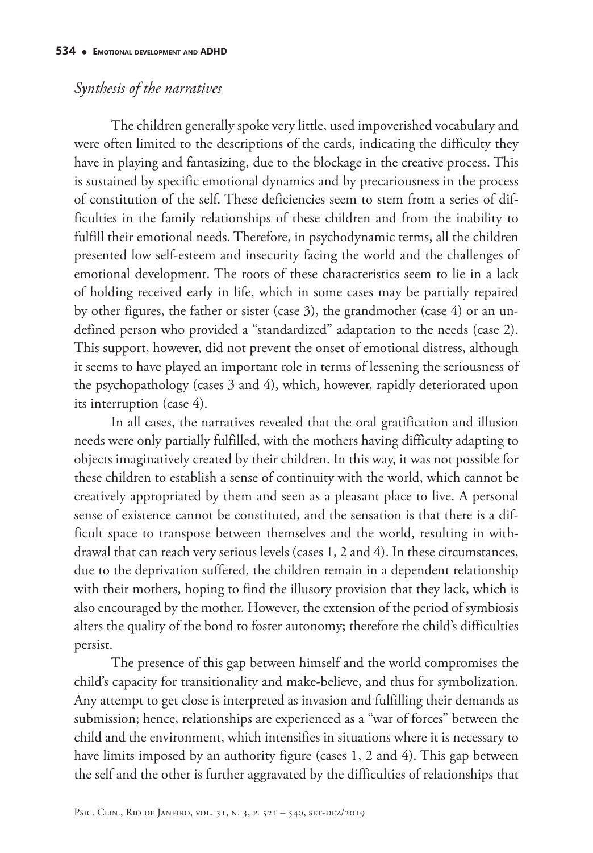### *Synthesis of the narratives*

The children generally spoke very little, used impoverished vocabulary and were often limited to the descriptions of the cards, indicating the difficulty they have in playing and fantasizing, due to the blockage in the creative process. This is sustained by specific emotional dynamics and by precariousness in the process of constitution of the self. These deficiencies seem to stem from a series of difficulties in the family relationships of these children and from the inability to fulfill their emotional needs. Therefore, in psychodynamic terms, all the children presented low self-esteem and insecurity facing the world and the challenges of emotional development. The roots of these characteristics seem to lie in a lack of holding received early in life, which in some cases may be partially repaired by other figures, the father or sister (case 3), the grandmother (case 4) or an undefined person who provided a "standardized" adaptation to the needs (case 2). This support, however, did not prevent the onset of emotional distress, although it seems to have played an important role in terms of lessening the seriousness of the psychopathology (cases 3 and 4), which, however, rapidly deteriorated upon its interruption (case 4).

In all cases, the narratives revealed that the oral gratification and illusion needs were only partially fulfilled, with the mothers having difficulty adapting to objects imaginatively created by their children. In this way, it was not possible for these children to establish a sense of continuity with the world, which cannot be creatively appropriated by them and seen as a pleasant place to live. A personal sense of existence cannot be constituted, and the sensation is that there is a difficult space to transpose between themselves and the world, resulting in withdrawal that can reach very serious levels (cases 1, 2 and 4). In these circumstances, due to the deprivation suffered, the children remain in a dependent relationship with their mothers, hoping to find the illusory provision that they lack, which is also encouraged by the mother. However, the extension of the period of symbiosis alters the quality of the bond to foster autonomy; therefore the child's difficulties persist.

The presence of this gap between himself and the world compromises the child's capacity for transitionality and make-believe, and thus for symbolization. Any attempt to get close is interpreted as invasion and fulfilling their demands as submission; hence, relationships are experienced as a "war of forces" between the child and the environment, which intensifies in situations where it is necessary to have limits imposed by an authority figure (cases 1, 2 and 4). This gap between the self and the other is further aggravated by the difficulties of relationships that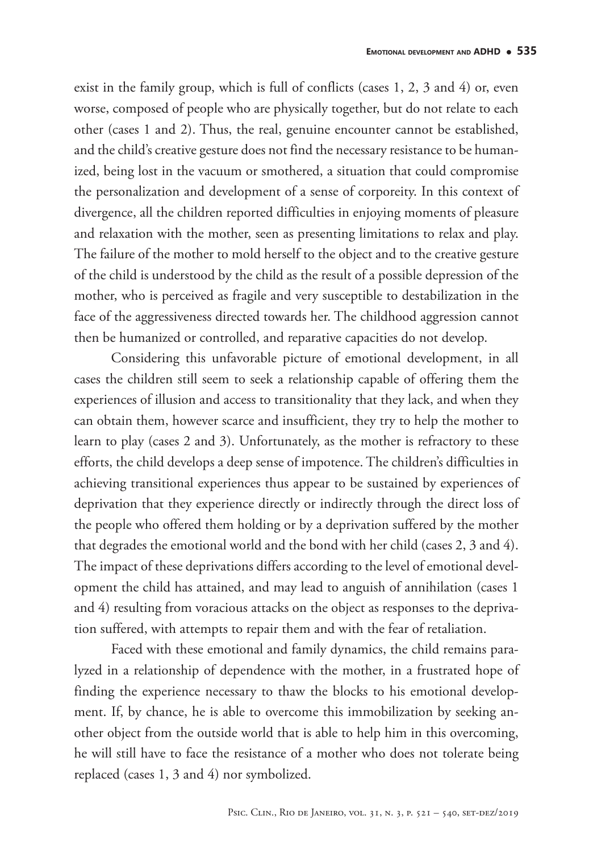exist in the family group, which is full of conflicts (cases 1, 2, 3 and 4) or, even worse, composed of people who are physically together, but do not relate to each other (cases 1 and 2). Thus, the real, genuine encounter cannot be established, and the child's creative gesture does not find the necessary resistance to be humanized, being lost in the vacuum or smothered, a situation that could compromise the personalization and development of a sense of corporeity. In this context of divergence, all the children reported difficulties in enjoying moments of pleasure and relaxation with the mother, seen as presenting limitations to relax and play. The failure of the mother to mold herself to the object and to the creative gesture of the child is understood by the child as the result of a possible depression of the mother, who is perceived as fragile and very susceptible to destabilization in the face of the aggressiveness directed towards her. The childhood aggression cannot then be humanized or controlled, and reparative capacities do not develop.

Considering this unfavorable picture of emotional development, in all cases the children still seem to seek a relationship capable of offering them the experiences of illusion and access to transitionality that they lack, and when they can obtain them, however scarce and insufficient, they try to help the mother to learn to play (cases 2 and 3). Unfortunately, as the mother is refractory to these efforts, the child develops a deep sense of impotence. The children's difficulties in achieving transitional experiences thus appear to be sustained by experiences of deprivation that they experience directly or indirectly through the direct loss of the people who offered them holding or by a deprivation suffered by the mother that degrades the emotional world and the bond with her child (cases 2, 3 and 4). The impact of these deprivations differs according to the level of emotional development the child has attained, and may lead to anguish of annihilation (cases 1 and 4) resulting from voracious attacks on the object as responses to the deprivation suffered, with attempts to repair them and with the fear of retaliation.

Faced with these emotional and family dynamics, the child remains paralyzed in a relationship of dependence with the mother, in a frustrated hope of finding the experience necessary to thaw the blocks to his emotional development. If, by chance, he is able to overcome this immobilization by seeking another object from the outside world that is able to help him in this overcoming, he will still have to face the resistance of a mother who does not tolerate being replaced (cases 1, 3 and 4) nor symbolized.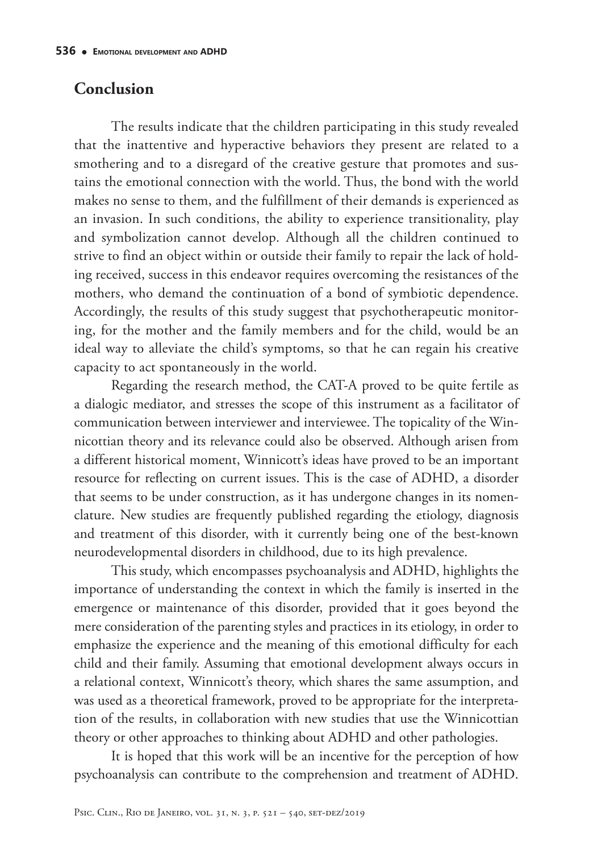## **Conclusion**

The results indicate that the children participating in this study revealed that the inattentive and hyperactive behaviors they present are related to a smothering and to a disregard of the creative gesture that promotes and sustains the emotional connection with the world. Thus, the bond with the world makes no sense to them, and the fulfillment of their demands is experienced as an invasion. In such conditions, the ability to experience transitionality, play and symbolization cannot develop. Although all the children continued to strive to find an object within or outside their family to repair the lack of holding received, success in this endeavor requires overcoming the resistances of the mothers, who demand the continuation of a bond of symbiotic dependence. Accordingly, the results of this study suggest that psychotherapeutic monitoring, for the mother and the family members and for the child, would be an ideal way to alleviate the child's symptoms, so that he can regain his creative capacity to act spontaneously in the world.

Regarding the research method, the CAT-A proved to be quite fertile as a dialogic mediator, and stresses the scope of this instrument as a facilitator of communication between interviewer and interviewee. The topicality of the Winnicottian theory and its relevance could also be observed. Although arisen from a different historical moment, Winnicott's ideas have proved to be an important resource for reflecting on current issues. This is the case of ADHD, a disorder that seems to be under construction, as it has undergone changes in its nomenclature. New studies are frequently published regarding the etiology, diagnosis and treatment of this disorder, with it currently being one of the best-known neurodevelopmental disorders in childhood, due to its high prevalence.

This study, which encompasses psychoanalysis and ADHD, highlights the importance of understanding the context in which the family is inserted in the emergence or maintenance of this disorder, provided that it goes beyond the mere consideration of the parenting styles and practices in its etiology, in order to emphasize the experience and the meaning of this emotional difficulty for each child and their family. Assuming that emotional development always occurs in a relational context, Winnicott's theory, which shares the same assumption, and was used as a theoretical framework, proved to be appropriate for the interpretation of the results, in collaboration with new studies that use the Winnicottian theory or other approaches to thinking about ADHD and other pathologies.

It is hoped that this work will be an incentive for the perception of how psychoanalysis can contribute to the comprehension and treatment of ADHD.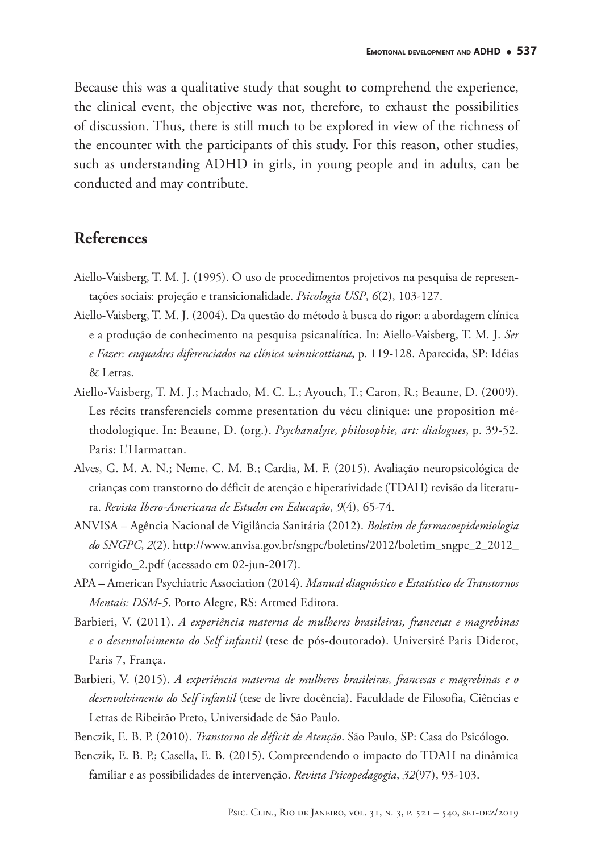Because this was a qualitative study that sought to comprehend the experience, the clinical event, the objective was not, therefore, to exhaust the possibilities of discussion. Thus, there is still much to be explored in view of the richness of the encounter with the participants of this study. For this reason, other studies, such as understanding ADHD in girls, in young people and in adults, can be conducted and may contribute.

### **References**

- Aiello-Vaisberg, T. M. J. (1995). O uso de procedimentos projetivos na pesquisa de representações sociais: projeção e transicionalidade. *Psicologia USP*, *6*(2), 103-127.
- Aiello-Vaisberg, T. M. J. (2004). Da questão do método à busca do rigor: a abordagem clínica e a produção de conhecimento na pesquisa psicanalítica. In: Aiello-Vaisberg, T. M. J. *Ser e Fazer: enquadres diferenciados na clínica winnicottiana*, p. 119-128. Aparecida, SP: Idéias & Letras.
- Aiello-Vaisberg, T. M. J.; Machado, M. C. L.; Ayouch, T.; Caron, R.; Beaune, D. (2009). Les récits transferenciels comme presentation du vécu clinique: une proposition méthodologique. In: Beaune, D. (org.). *Psychanalyse, philosophie, art: dialogues*, p. 39-52. Paris: L'Harmattan.
- Alves, G. M. A. N.; Neme, C. M. B.; Cardia, M. F. (2015). Avaliação neuropsicológica de crianças com transtorno do déficit de atenção e hiperatividade (TDAH) revisão da literatura. *Revista Ibero-Americana de Estudos em Educação*, *9*(4), 65-74.
- ANVISA Agência Nacional de Vigilância Sanitária (2012). *Boletim de farmacoepidemiologia do SNGPC*, *2*(2). http://www.anvisa.gov.br/sngpc/boletins/2012/boletim\_sngpc\_2\_2012\_ corrigido\_2.pdf (acessado em 02-jun-2017).
- APA American Psychiatric Association (2014). *Manual diagnóstico e Estatístico de Transtornos Mentais: DSM-5*. Porto Alegre, RS: Artmed Editora.
- Barbieri, V. (2011). *A experiência materna de mulheres brasileiras, francesas e magrebinas e o desenvolvimento do Self infantil* (tese de pós-doutorado). Université Paris Diderot, Paris 7, França.
- Barbieri, V. (2015). *A experiência materna de mulheres brasileiras, francesas e magrebinas e o desenvolvimento do Self infantil* (tese de livre docência). Faculdade de Filosofia, Ciências e Letras de Ribeirão Preto, Universidade de São Paulo.
- Benczik, E. B. P. (2010). *Transtorno de déficit de Atenção*. São Paulo, SP: Casa do Psicólogo.
- Benczik, E. B. P.; Casella, E. B. (2015). Compreendendo o impacto do TDAH na dinâmica familiar e as possibilidades de intervenção. *Revista Psicopedagogia*, *32*(97), 93-103.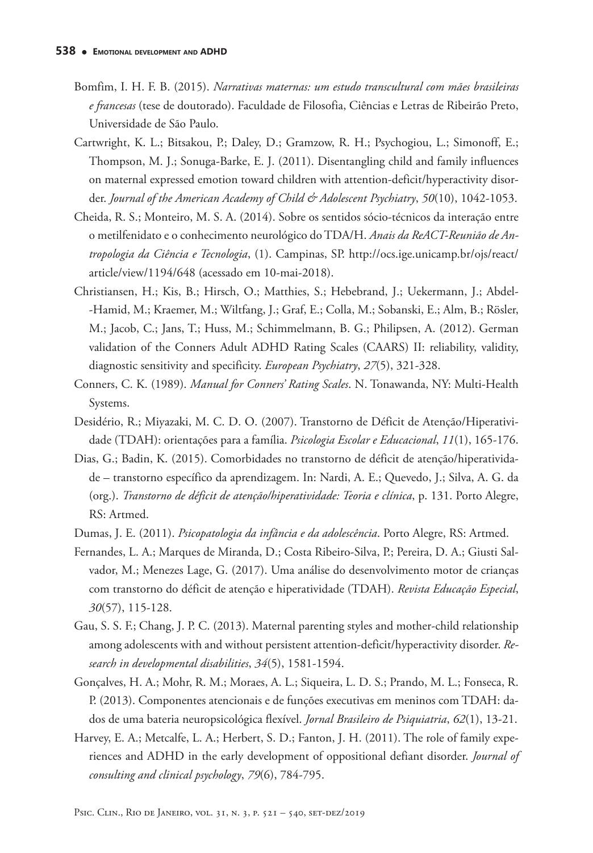- Bomfim, I. H. F. B. (2015). *Narrativas maternas: um estudo transcultural com mães brasileiras e francesas* (tese de doutorado). Faculdade de Filosofia, Ciências e Letras de Ribeirão Preto, Universidade de São Paulo.
- Cartwright, K. L.; Bitsakou, P.; Daley, D.; Gramzow, R. H.; Psychogiou, L.; Simonoff, E.; Thompson, M. J.; Sonuga-Barke, E. J. (2011). Disentangling child and family influences on maternal expressed emotion toward children with attention-deficit/hyperactivity disorder. *Journal of the American Academy of Child & Adolescent Psychiatry*, *50*(10), 1042-1053.
- Cheida, R. S.; Monteiro, M. S. A. (2014). Sobre os sentidos sócio-técnicos da interação entre o metilfenidato e o conhecimento neurológico do TDA/H. *Anais da ReACT-Reunião de Antropologia da Ciência e Tecnologia*, (1). Campinas, SP. http://ocs.ige.unicamp.br/ojs/react/ article/view/1194/648 (acessado em 10-mai-2018).
- Christiansen, H.; Kis, B.; Hirsch, O.; Matthies, S.; Hebebrand, J.; Uekermann, J.; Abdel- -Hamid, M.; Kraemer, M.; Wiltfang, J.; Graf, E.; Colla, M.; Sobanski, E.; Alm, B.; Rösler, M.; Jacob, C.; Jans, T.; Huss, M.; Schimmelmann, B. G.; Philipsen, A. (2012). German validation of the Conners Adult ADHD Rating Scales (CAARS) II: reliability, validity, diagnostic sensitivity and specificity. *European Psychiatry*, *27*(5), 321-328.
- Conners, C. K. (1989). *Manual for Conners' Rating Scales*. N. Tonawanda, NY: Multi-Health Systems.
- Desidério, R.; Miyazaki, M. C. D. O. (2007). Transtorno de Déficit de Atenção/Hiperatividade (TDAH): orientações para a família. *Psicologia Escolar e Educacional*, *11*(1), 165-176.
- Dias, G.; Badin, K. (2015). Comorbidades no transtorno de déficit de atenção/hiperatividade – transtorno específico da aprendizagem. In: Nardi, A. E.; Quevedo, J.; Silva, A. G. da (org.). *Transtorno de déficit de atenção/hiperatividade: Teoria e clínica*, p. 131. Porto Alegre, RS: Artmed.
- Dumas, J. E. (2011). *Psicopatologia da infância e da adolescência*. Porto Alegre, RS: Artmed.
- Fernandes, L. A.; Marques de Miranda, D.; Costa Ribeiro-Silva, P.; Pereira, D. A.; Giusti Salvador, M.; Menezes Lage, G. (2017). Uma análise do desenvolvimento motor de crianças com transtorno do déficit de atenção e hiperatividade (TDAH). *Revista Educação Especial*, *30*(57), 115-128.
- Gau, S. S. F.; Chang, J. P. C. (2013). Maternal parenting styles and mother-child relationship among adolescents with and without persistent attention-deficit/hyperactivity disorder. *Research in developmental disabilities*, *34*(5), 1581-1594.
- Gonçalves, H. A.; Mohr, R. M.; Moraes, A. L.; Siqueira, L. D. S.; Prando, M. L.; Fonseca, R. P. (2013). Componentes atencionais e de funções executivas em meninos com TDAH: dados de uma bateria neuropsicológica flexível. *Jornal Brasileiro de Psiquiatria*, *62*(1), 13-21.
- Harvey, E. A.; Metcalfe, L. A.; Herbert, S. D.; Fanton, J. H. (2011). The role of family experiences and ADHD in the early development of oppositional defiant disorder. *Journal of consulting and clinical psychology*, *79*(6), 784-795.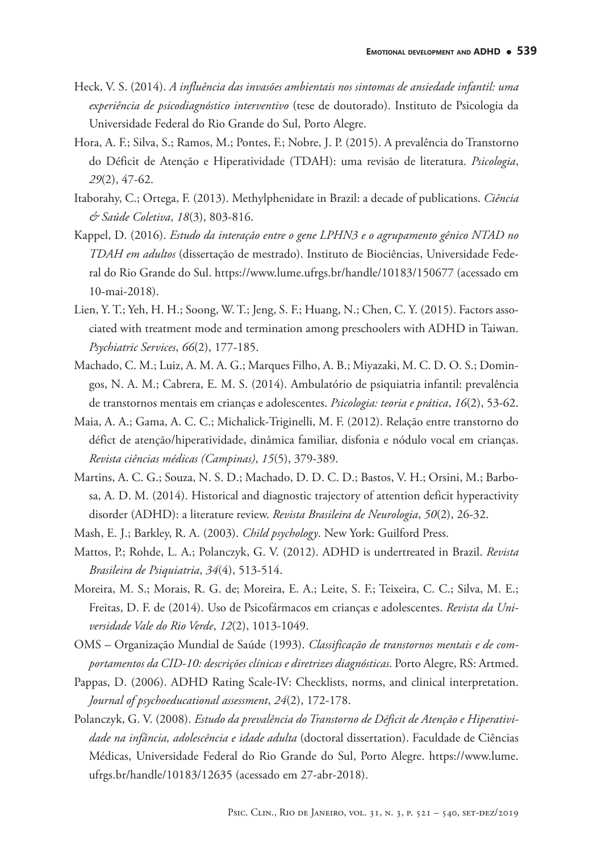- Heck, V. S. (2014). *A influência das invasões ambientais nos sintomas de ansiedade infantil: uma experiência de psicodiagnóstico interventivo* (tese de doutorado). Instituto de Psicologia da Universidade Federal do Rio Grande do Sul, Porto Alegre.
- Hora, A. F.; Silva, S.; Ramos, M.; Pontes, F.; Nobre, J. P. (2015). A prevalência do Transtorno do Déficit de Atenção e Hiperatividade (TDAH): uma revisão de literatura. *Psicologia*, *29*(2), 47-62.
- Itaborahy, C.; Ortega, F. (2013). Methylphenidate in Brazil: a decade of publications. *Ciência & Saúde Coletiva*, *18*(3), 803-816.
- Kappel, D. (2016). *Estudo da interação entre o gene LPHN3 e o agrupamento gênico NTAD no TDAH em adultos* (dissertação de mestrado). Instituto de Biociências, Universidade Federal do Rio Grande do Sul. https://www.lume.ufrgs.br/handle/10183/150677 (acessado em 10-mai-2018).
- Lien, Y. T.; Yeh, H. H.; Soong, W. T.; Jeng, S. F.; Huang, N.; Chen, C. Y. (2015). Factors associated with treatment mode and termination among preschoolers with ADHD in Taiwan. *Psychiatric Services*, *66*(2), 177-185.
- Machado, C. M.; Luiz, A. M. A. G.; Marques Filho, A. B.; Miyazaki, M. C. D. O. S.; Domingos, N. A. M.; Cabrera, E. M. S. (2014). Ambulatório de psiquiatria infantil: prevalência de transtornos mentais em crianças e adolescentes. *Psicologia: teoria e prática*, *16*(2), 53-62.
- Maia, A. A.; Gama, A. C. C.; Michalick-Triginelli, M. F. (2012). Relação entre transtorno do défict de atenção/hiperatividade, dinâmica familiar, disfonia e nódulo vocal em crianças. *Revista ciências médicas (Campinas)*, *15*(5), 379-389.
- Martins, A. C. G.; Souza, N. S. D.; Machado, D. D. C. D.; Bastos, V. H.; Orsini, M.; Barbosa, A. D. M. (2014). Historical and diagnostic trajectory of attention deficit hyperactivity disorder (ADHD): a literature review. *Revista Brasileira de Neurologia*, *50*(2), 26-32.
- Mash, E. J.; Barkley, R. A. (2003). *Child psychology*. New York: Guilford Press.
- Mattos, P.; Rohde, L. A.; Polanczyk, G. V. (2012). ADHD is undertreated in Brazil. *Revista Brasileira de Psiquiatria*, *34*(4), 513-514.
- Moreira, M. S.; Morais, R. G. de; Moreira, E. A.; Leite, S. F.; Teixeira, C. C.; Silva, M. E.; Freitas, D. F. de (2014). Uso de Psicofármacos em crianças e adolescentes. *Revista da Universidade Vale do Rio Verde*, *12*(2), 1013-1049.
- OMS Organização Mundial de Saúde (1993). *Classificação de transtornos mentais e de comportamentos da CID-10: descrições clínicas e diretrizes diagnósticas*. Porto Alegre, RS: Artmed.
- Pappas, D. (2006). ADHD Rating Scale-IV: Checklists, norms, and clinical interpretation. *Journal of psychoeducational assessment*, *24*(2), 172-178.
- Polanczyk, G. V. (2008). *Estudo da prevalência do Transtorno de Déficit de Atenção e Hiperatividade na infância, adolescência e idade adulta* (doctoral dissertation). Faculdade de Ciências Médicas, Universidade Federal do Rio Grande do Sul, Porto Alegre. https://www.lume. ufrgs.br/handle/10183/12635 (acessado em 27-abr-2018).